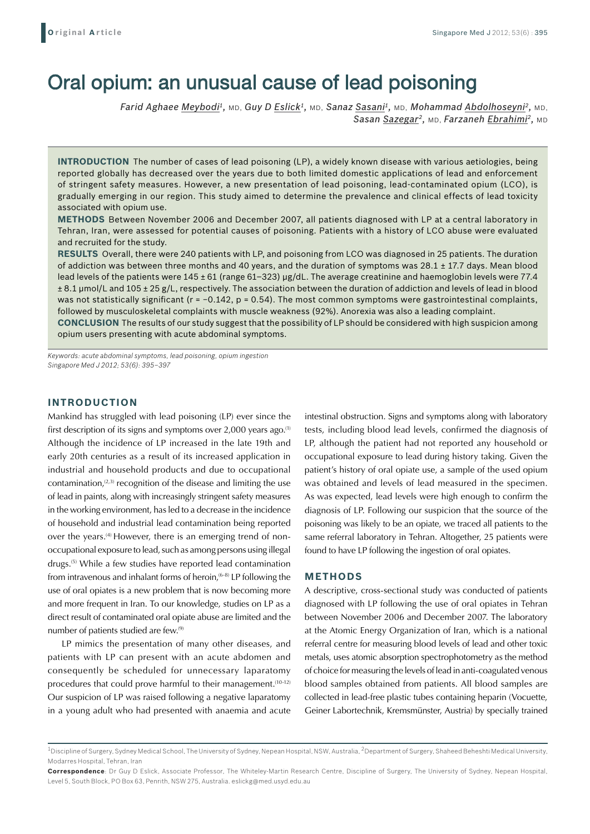# Oral opium: an unusual cause of lead poisoning

*Farid Aghaee Meybodi1,* MD, *Guy D Eslick1,* MD, *Sanaz Sasani1,* MD, *Mohammad Abdolhoseyni2,* MD, *Sasan Sazegar2,* MD, *Farzaneh Ebrahimi2,* MD

**INTRODUCTION** The number of cases of lead poisoning (LP), a widely known disease with various aetiologies, being reported globally has decreased over the years due to both limited domestic applications of lead and enforcement of stringent safety measures. However, a new presentation of lead poisoning, lead-contaminated opium (LCO), is gradually emerging in our region. This study aimed to determine the prevalence and clinical effects of lead toxicity associated with opium use.

**Methods** Between November 2006 and December 2007, all patients diagnosed with LP at a central laboratory in Tehran, Iran, were assessed for potential causes of poisoning. Patients with a history of LCO abuse were evaluated and recruited for the study.

**Results** Overall, there were 240 patients with LP, and poisoning from LCO was diagnosed in 25 patients. The duration of addiction was between three months and 40 years, and the duration of symptoms was 28.1 ± 17.7 days. Mean blood lead levels of the patients were 145 ± 61 (range 61–323) µg/dL. The average creatinine and haemoglobin levels were 77.4 ± 8.1 µmol/L and 105 ± 25 g/L, respectively. The association between the duration of addiction and levels of lead in blood was not statistically significant ( $r = -0.142$ ,  $p = 0.54$ ). The most common symptoms were gastrointestinal complaints, followed by musculoskeletal complaints with muscle weakness (92%). Anorexia was also a leading complaint.

**Conclusion** The results of our study suggest that the possibility of LP should be considered with high suspicion among opium users presenting with acute abdominal symptoms.

*Keywords: acute abdominal symptoms, lead poisoning, opium ingestion Singapore Med J 2012; 53(6): 395–397*

### **INTRODUCTION**

Mankind has struggled with lead poisoning (LP) ever since the first description of its signs and symptoms over  $2,000$  years ago.<sup>(1)</sup> Although the incidence of LP increased in the late 19th and early 20th centuries as a result of its increased application in industrial and household products and due to occupational contamination, $(2,3)$  recognition of the disease and limiting the use of lead in paints, along with increasingly stringent safety measures in the working environment, has led to a decrease in the incidence of household and industrial lead contamination being reported over the years.<sup>(4)</sup> However, there is an emerging trend of nonoccupational exposure to lead, such as among persons using illegal drugs.(5) While a few studies have reported lead contamination from intravenous and inhalant forms of heroin,  $(6-8)$  LP following the use of oral opiates is a new problem that is now becoming more and more frequent in Iran. To our knowledge, studies on LP as a direct result of contaminated oral opiate abuse are limited and the number of patients studied are few.(9)

LP mimics the presentation of many other diseases, and patients with LP can present with an acute abdomen and consequently be scheduled for unnecessary laparatomy procedures that could prove harmful to their management.<sup>(10-12)</sup> Our suspicion of LP was raised following a negative laparatomy in a young adult who had presented with anaemia and acute

intestinal obstruction. Signs and symptoms along with laboratory tests, including blood lead levels, confirmed the diagnosis of LP, although the patient had not reported any household or occupational exposure to lead during history taking. Given the patient's history of oral opiate use, a sample of the used opium was obtained and levels of lead measured in the specimen. As was expected, lead levels were high enough to confirm the diagnosis of LP. Following our suspicion that the source of the poisoning was likely to be an opiate, we traced all patients to the same referral laboratory in Tehran. Altogether, 25 patients were found to have LP following the ingestion of oral opiates.

#### **METHODS**

A descriptive, cross-sectional study was conducted of patients diagnosed with LP following the use of oral opiates in Tehran between November 2006 and December 2007. The laboratory at the Atomic Energy Organization of Iran, which is a national referral centre for measuring blood levels of lead and other toxic metals, uses atomic absorption spectrophotometry as the method of choice for measuring the levels of lead in anti-coagulated venous blood samples obtained from patients. All blood samples are collected in lead-free plastic tubes containing heparin (Vocuette, Geiner Labortechnik, Kremsmünster, Austria) by specially trained

<sup>&</sup>lt;sup>1</sup>Discipline of Surgery, Sydney Medical School, The University of Sydney, Nepean Hospital, NSW, Australia, <sup>2</sup>Department of Surgery, Shaheed Beheshti Medical University, Modarres Hospital, Tehran, Iran

**Correspondence**: Dr Guy D Eslick, Associate Professor, The Whiteley-Martin Research Centre, Discipline of Surgery, The University of Sydney, Nepean Hospital, Level 5, South Block, PO Box 63, Penrith, NSW 275, Australia. eslickg@med.usyd.edu.au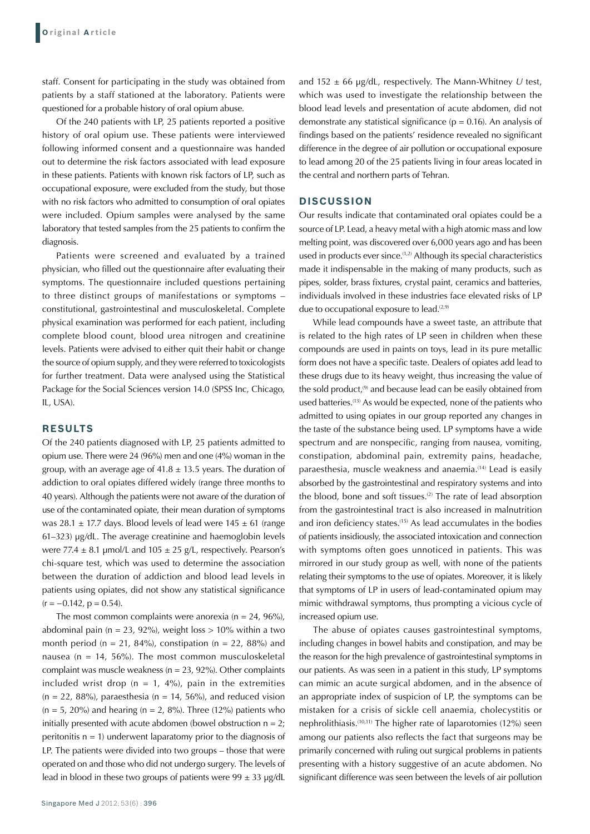staff. Consent for participating in the study was obtained from patients by a staff stationed at the laboratory. Patients were questioned for a probable history of oral opium abuse.

Of the 240 patients with LP, 25 patients reported a positive history of oral opium use. These patients were interviewed following informed consent and a questionnaire was handed out to determine the risk factors associated with lead exposure in these patients. Patients with known risk factors of LP, such as occupational exposure, were excluded from the study, but those with no risk factors who admitted to consumption of oral opiates were included. Opium samples were analysed by the same laboratory that tested samples from the 25 patients to confirm the diagnosis.

Patients were screened and evaluated by a trained physician, who filled out the questionnaire after evaluating their symptoms. The questionnaire included questions pertaining to three distinct groups of manifestations or symptoms – constitutional, gastrointestinal and musculoskeletal. Complete physical examination was performed for each patient, including complete blood count, blood urea nitrogen and creatinine levels. Patients were advised to either quit their habit or change the source of opium supply, and they were referred to toxicologists for further treatment. Data were analysed using the Statistical Package for the Social Sciences version 14.0 (SPSS Inc, Chicago, IL, USA).

## **RESULTS**

Of the 240 patients diagnosed with LP, 25 patients admitted to opium use. There were 24 (96%) men and one (4%) woman in the group, with an average age of  $41.8 \pm 13.5$  years. The duration of addiction to oral opiates differed widely (range three months to 40 years). Although the patients were not aware of the duration of use of the contaminated opiate, their mean duration of symptoms was 28.1  $\pm$  17.7 days. Blood levels of lead were 145  $\pm$  61 (range 61–323) µg/dL. The average creatinine and haemoglobin levels were 77.4  $\pm$  8.1 umol/L and 105  $\pm$  25 g/L, respectively. Pearson's chi-square test, which was used to determine the association between the duration of addiction and blood lead levels in patients using opiates, did not show any statistical significance  $(r = -0.142, p = 0.54)$ .

The most common complaints were anorexia ( $n = 24$ , 96%), abdominal pain ( $n = 23$ , 92%), weight loss  $> 10\%$  within a two month period (n = 21, 84%), constipation (n = 22, 88%) and nausea (n = 14, 56%). The most common musculoskeletal complaint was muscle weakness ( $n = 23$ , 92%). Other complaints included wrist drop ( $n = 1$ , 4%), pain in the extremities  $(n = 22, 88\%)$ , paraesthesia  $(n = 14, 56\%)$ , and reduced vision  $(n = 5, 20\%)$  and hearing  $(n = 2, 8\%)$ . Three (12%) patients who initially presented with acute abdomen (bowel obstruction  $n = 2$ ): peritonitis  $n = 1$ ) underwent laparatomy prior to the diagnosis of LP. The patients were divided into two groups – those that were operated on and those who did not undergo surgery. The levels of lead in blood in these two groups of patients were  $99 \pm 33$  µg/dL

and 152 ± 66 µg/dL, respectively. The Mann-Whitney *U* test, which was used to investigate the relationship between the blood lead levels and presentation of acute abdomen, did not demonstrate any statistical significance ( $p = 0.16$ ). An analysis of findings based on the patients' residence revealed no significant difference in the degree of air pollution or occupational exposure to lead among 20 of the 25 patients living in four areas located in the central and northern parts of Tehran.

## **DISCUSSION**

Our results indicate that contaminated oral opiates could be a source of LP. Lead, a heavy metal with a high atomic mass and low melting point, was discovered over 6,000 years ago and has been used in products ever since.<sup>(1,2)</sup> Although its special characteristics made it indispensable in the making of many products, such as pipes, solder, brass fixtures, crystal paint, ceramics and batteries, individuals involved in these industries face elevated risks of LP due to occupational exposure to lead.<sup>(2,9)</sup>

While lead compounds have a sweet taste, an attribute that is related to the high rates of LP seen in children when these compounds are used in paints on toys, lead in its pure metallic form does not have a specific taste. Dealers of opiates add lead to these drugs due to its heavy weight, thus increasing the value of the sold product.<sup>(9)</sup> and because lead can be easily obtained from used batteries.(13) As would be expected, none of the patients who admitted to using opiates in our group reported any changes in the taste of the substance being used. LP symptoms have a wide spectrum and are nonspecific, ranging from nausea, vomiting, constipation, abdominal pain, extremity pains, headache, paraesthesia, muscle weakness and anaemia.<sup>(14)</sup> Lead is easily absorbed by the gastrointestinal and respiratory systems and into the blood, bone and soft tissues.<sup>(2)</sup> The rate of lead absorption from the gastrointestinal tract is also increased in malnutrition and iron deficiency states.<sup>(15)</sup> As lead accumulates in the bodies of patients insidiously, the associated intoxication and connection with symptoms often goes unnoticed in patients. This was mirrored in our study group as well, with none of the patients relating their symptoms to the use of opiates. Moreover, it is likely that symptoms of LP in users of lead-contaminated opium may mimic withdrawal symptoms, thus prompting a vicious cycle of increased opium use.

The abuse of opiates causes gastrointestinal symptoms, including changes in bowel habits and constipation, and may be the reason for the high prevalence of gastrointestinal symptoms in our patients. As was seen in a patient in this study, LP symptoms can mimic an acute surgical abdomen, and in the absence of an appropriate index of suspicion of LP, the symptoms can be mistaken for a crisis of sickle cell anaemia, cholecystitis or nephrolithiasis.(10,11) The higher rate of laparotomies (12%) seen among our patients also reflects the fact that surgeons may be primarily concerned with ruling out surgical problems in patients presenting with a history suggestive of an acute abdomen. No significant difference was seen between the levels of air pollution